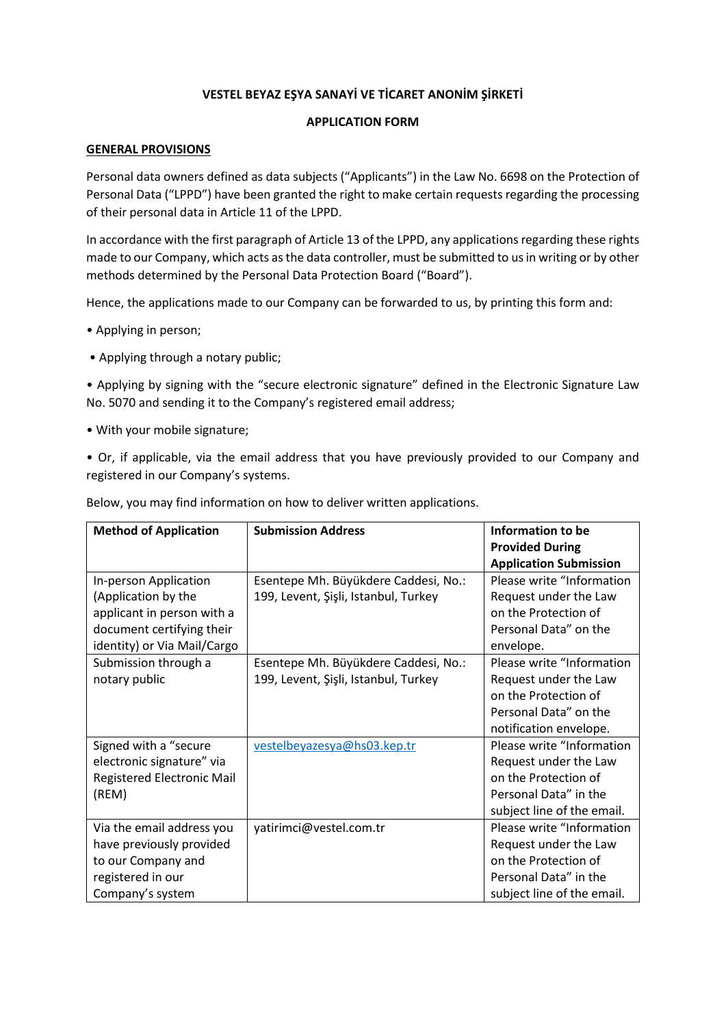# **VESTEL BEYAZ EŞYA SANAYİ VE TİCARET ANONİM ŞİRKETİ**

### **APPLICATION FORM**

#### **GENERAL PROVISIONS**

Personal data owners defined as data subjects ("Applicants") in the Law No. 6698 on the Protection of Personal Data ("LPPD") have been granted the right to make certain requests regarding the processing of their personal data in Article 11 of the LPPD.

In accordance with the first paragraph of Article 13 of the LPPD, any applications regarding these rights made to our Company, which acts as the data controller, must be submitted to us in writing or by other methods determined by the Personal Data Protection Board ("Board").

Hence, the applications made to our Company can be forwarded to us, by printing this form and:

- Applying in person;
- Applying through a notary public;

• Applying by signing with the "secure electronic signature" defined in the Electronic Signature Law No. 5070 and sending it to the Company's registered email address;

• With your mobile signature;

• Or, if applicable, via the email address that you have previously provided to our Company and registered in our Company's systems.

| <b>Method of Application</b> | <b>Submission Address</b>            | Information to be                                       |  |
|------------------------------|--------------------------------------|---------------------------------------------------------|--|
|                              |                                      | <b>Provided During</b><br><b>Application Submission</b> |  |
| In-person Application        | Esentepe Mh. Büyükdere Caddesi, No.: | Please write "Information                               |  |
| (Application by the          | 199, Levent, Şişli, Istanbul, Turkey | Request under the Law                                   |  |
| applicant in person with a   |                                      | on the Protection of                                    |  |
| document certifying their    |                                      | Personal Data" on the                                   |  |
| identity) or Via Mail/Cargo  |                                      | envelope.                                               |  |
| Submission through a         | Esentepe Mh. Büyükdere Caddesi, No.: | Please write "Information                               |  |
| notary public                | 199, Levent, Şişli, Istanbul, Turkey | Request under the Law                                   |  |
|                              |                                      | on the Protection of                                    |  |
|                              |                                      | Personal Data" on the                                   |  |
|                              |                                      | notification envelope.                                  |  |
| Signed with a "secure        | vestelbeyazesya@hs03.kep.tr          | Please write "Information                               |  |
| electronic signature" via    |                                      | Request under the Law                                   |  |
| Registered Electronic Mail   |                                      | on the Protection of                                    |  |
| (REM)                        |                                      | Personal Data" in the                                   |  |
|                              |                                      | subject line of the email.                              |  |
| Via the email address you    | yatirimci@vestel.com.tr              | Please write "Information                               |  |
| have previously provided     |                                      | Request under the Law                                   |  |
| to our Company and           |                                      | on the Protection of                                    |  |
| registered in our            |                                      | Personal Data" in the                                   |  |
| Company's system             |                                      | subject line of the email.                              |  |

Below, you may find information on how to deliver written applications.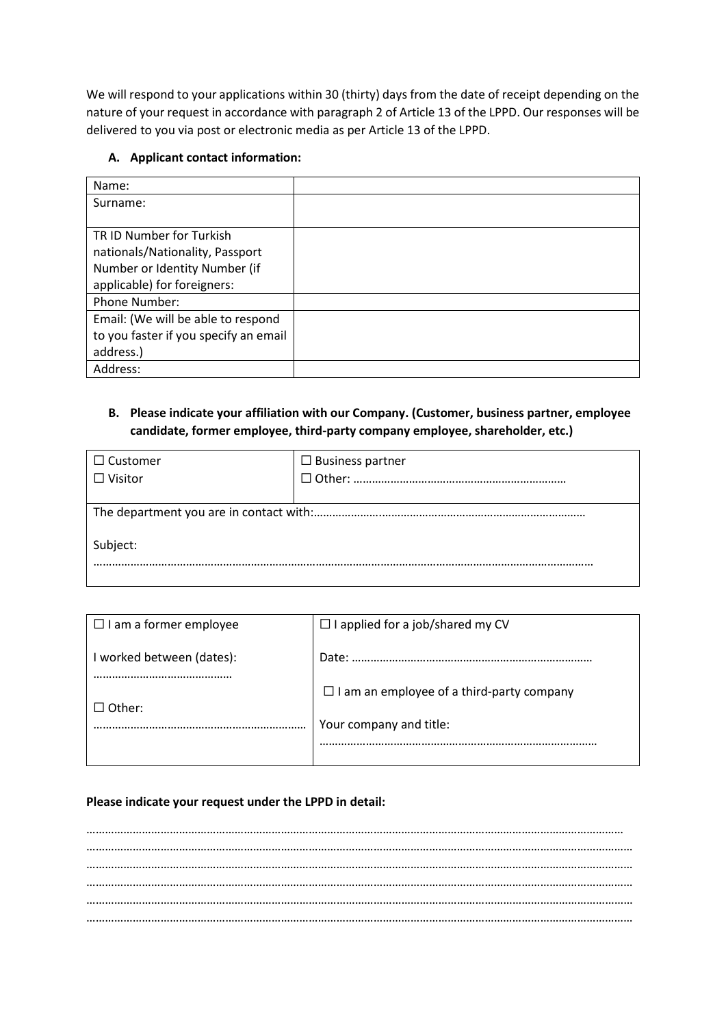We will respond to your applications within 30 (thirty) days from the date of receipt depending on the nature of your request in accordance with paragraph 2 of Article 13 of the LPPD. Our responses will be delivered to you via post or electronic media as per Article 13 of the LPPD.

### **A. Applicant contact information:**

| Name:                                 |  |
|---------------------------------------|--|
| Surname:                              |  |
|                                       |  |
| TR ID Number for Turkish              |  |
| nationals/Nationality, Passport       |  |
| Number or Identity Number (if         |  |
| applicable) for foreigners:           |  |
| Phone Number:                         |  |
| Email: (We will be able to respond    |  |
| to you faster if you specify an email |  |
| address.)                             |  |
| Address:                              |  |

### **B. Please indicate your affiliation with our Company. (Customer, business partner, employee candidate, former employee, third-party company employee, shareholder, etc.)**

| $\Box$ Customer | $\Box$ Business partner |  |  |  |
|-----------------|-------------------------|--|--|--|
| $\Box$ Visitor  |                         |  |  |  |
|                 |                         |  |  |  |
|                 |                         |  |  |  |
| Subject:        |                         |  |  |  |
|                 |                         |  |  |  |

| $\Box$ I am a former employee | $\Box$ I applied for a job/shared my CV          |  |  |
|-------------------------------|--------------------------------------------------|--|--|
| I worked between (dates):     | Date:                                            |  |  |
|                               | $\Box$ I am an employee of a third-party company |  |  |
| $\Box$ Other:                 | Your company and title:                          |  |  |
|                               |                                                  |  |  |

## **Please indicate your request under the LPPD in detail:**

………………………………………………………………………………………………………………………………………………………… …………………………………………………………………………………………………………………………………………………………… …………………………………………………………………………………………………………………………………………………………… …………………………………………………………………………………………………………………………………………………………… …………………………………………………………………………………………………………………………………………………………… ……………………………………………………………………………………………………………………………………………………………